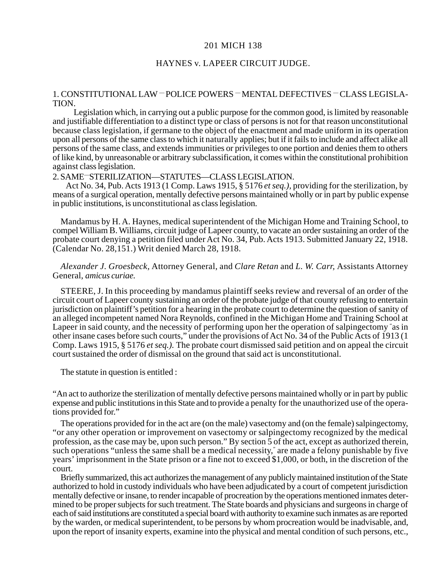## 201 MICH 138

## HAYNES v. LAPEER CIRCUIT JUDGE.

## 1. CONSTITUTIONAL LAW — POLICE POWERS — MENTAL DEFECTIVES — CLASS LEGISLA-TION.

Legislation which, in carrying out a public purpose for the common good, is limited by reasonable and justifiable differentiation to a distinct type or class of persons is not for that reason unconstitutional because class legislation, if germane to the object of the enactment and made uniform in its operation upon all persons of the same class to which it naturally applies; but if it fails to include and affect alike all persons of the same class, and extends immunities or privileges to one portion and denies them to others of like kind, by unreasonable or arbitrary subclassification, it comes within the constitutional prohibition against class legislation.

## 2. SAME—STERILIZATION—STATUTES—CLASS LEGISLATION.

Act No. 34, Pub. Acts 1913 (1 Comp. Laws 1915, § 5176 *et seq.),* providing for the sterilization, by means of a surgical operation, mentally defective persons maintained wholly or in part by public expense in public institutions, is unconstitutional as class legislation.

Mandamus by H. A. Haynes, medical superintendent of the Michigan Home and Training School, to compel William B. Williams, circuit judge of Lapeer county, to vacate an order sustaining an order of the probate court denying a petition filed under Act No. 34, Pub. Acts 1913. Submitted January 22, 1918. (Calendar No. 28,151.) Writ denied March 28, 1918.

*Alexander J. Groesbeck,* Attorney General, and *Clare Retan* and *L. W. Carr,* Assistants Attorney General, *amicus curiae.*

STEERE, J. In this proceeding by mandamus plaintiff seeks review and reversal of an order of the circuit court of Lapeer county sustaining an order of the probate judge of that county refusing to entertain jurisdiction on plaintiff's petition for a hearing in the probate court to determine the question of sanity of an alleged incompetent named Nora Reynolds, confined in the Michigan Home and Training School at Lapeer in said county, and the necessity of performing upon her the operation of salpingectomy " as in other insane cases before such courts," under the provisions of Act No. 34 of the Public Acts of 1913 (1 Comp. Laws 1915, § 5176 *et seq.).* The probate court dismissed said petition and on appeal the circuit court sustained the order of dismissal on the ground that said act is unconstitutional.

The statute in question is entitled :

"An act to authorize the sterilization of mentally defective persons maintained wholly or in part by public expense and public institutions in this State and to provide a penalty for the unauthorized use of the operations provided for."

The operations provided for in the act are (on the male) vasectomy and (on the female) salpingectomy, "or any other operation or improvement on vasectomy or salpingectomy recognized by the medical profession, as the case may be, upon such person." By section 5 of the act, except as authorized therein, such operations "unless the same shall be a medical necessity," are made a felony punishable by five years' imprisonment in the State prison or a fine not to exceed \$1,000, or both, in the discretion of the court.

Briefly summarized, this act authorizes the management of any publicly maintained institution of the State authorized to hold in custody individuals who have been adjudicated by a court of competent jurisdiction mentally defective or insane, to render incapable of procreation by the operations mentioned inmates determined to be proper subjects for such treatment. The State boards and physicians and surgeons in charge of each of said institutions are constituted a special board with authority to examine such inmates as are reported by the warden, or medical superintendent, to be persons by whom procreation would be inadvisable, and, upon the report of insanity experts, examine into the physical and mental condition of such persons, etc.,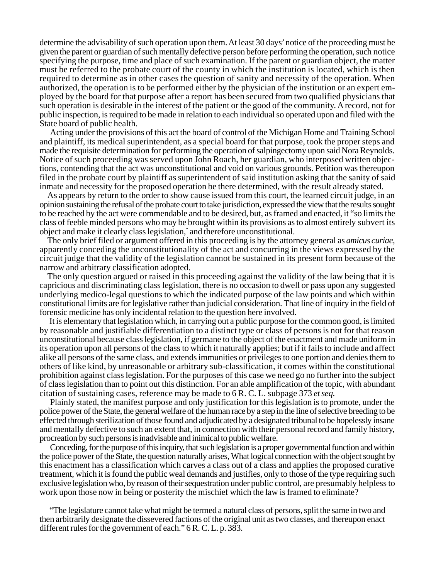determine the advisability of such operation upon them. At least 30 days' notice of the proceeding must be given the parent or guardian of such mentally defective person before performing the operation, such notice specifying the purpose, time and place of such examination. If the parent or guardian object, the matter must be referred to the probate court of the county in which the institution is located, which is then required to determine as in other cases the question of sanity and necessity of the operation. When authorized, the operation is to be performed either by the physician of the institution or an expert employed by the board for that purpose after a report has been secured from two qualified physicians that such operation is desirable in the interest of the patient or the good of the community. A record, not for public inspection, is required to be made in relation to each individual so operated upon and filed with the State board of public health.

Acting under the provisions of this act the board of control of the Michigan Home and Training School and plaintiff, its medical superintendent, as a special board for that purpose, took the proper steps and made the requisite determination for performing the operation of salpingectomy upon said Nora Reynolds. Notice of such proceeding was served upon John Roach, her guardian, who interposed written objections, contending that the act was unconstitutional and void on various grounds. Petition was thereupon filed in the probate court by plaintiff as superintendent of said institution asking that the sanity of said inmate and necessity for the proposed operation be there determined, with the result already stated.

As appears by return to the order to show cause issued from this court, the learned circuit judge, in an opinion sustaining the refusal of the probate court to take jurisdiction, expressed the view that the results sought to be reached by the act were commendable and to be desired, but, as framed and enacted, it "so limits the class of feeble minded persons who may be brought within its provisions as to almost entirely subvert its object and make it clearly class legislation," and therefore unconstitutional.

The only brief filed or argument offered in this proceeding is by the attorney general as *amicus curiae,* apparently conceding the unconstitutionality of the act and concurring in the views expressed by the circuit judge that the validity of the legislation cannot be sustained in its present form because of the narrow and arbitrary classification adopted.

The only question argued or raised in this proceeding against the validity of the law being that it is capricious and discriminating class legislation, there is no occasion to dwell or pass upon any suggested underlying medico-legal questions to which the indicated purpose of the law points and which within constitutional limits are for legislative rather than judicial consideration. That line of inquiry in the field of forensic medicine has only incidental relation to the question here involved.

It is elementary that legislation which, in carrying out a public purpose for the common good, is limited by reasonable and justifiable differentiation to a distinct type or class of persons is not for that reason unconstitutional because class legislation, if germane to the object of the enactment and made uniform in its operation upon all persons of the class to which it naturally applies; but if it fails to include and affect alike all persons of the same class, and extends immunities or privileges to one portion and denies them to others of like kind, by unreasonable or arbitrary sub-classification, it comes within the constitutional prohibition against class legislation. For the purposes of this case we need go no further into the subject of class legislation than to point out this distinction. For an able amplification of the topic, with abundant citation of sustaining cases, reference may be made to 6 R. C. L. subpage 373 *et seq.*

Plainly stated, the manifest purpose and only justification for this legislation is to promote, under the police power of the State, the general welfare of the human race by a step in the line of selective breeding to be effected through sterilization of those found and adjudicated by a designated tribunal to be hopelessly insane and mentally defective to such an extent that, in connection with their personal record and family history, procreation by such persons is inadvisable and inimical to public welfare.

Conceding, for the purpose of this inquiry, that such legislation is a proper governmental function and within the police power of the State, the question naturally arises, What logical connection with the object sought by this enactment has a classification which carves a class out of a class and applies the proposed curative treatment, which it is found the public weal demands and justifies, only to those of the type requiring such exclusive legislation who, by reason of their sequestration under public control, are presumably helpless to work upon those now in being or posterity the mischief which the law is framed to eliminate?

"The legislature cannot take what might be termed a natural class of persons, split the same in two and then arbitrarily designate the dissevered factions of the original unit as two classes, and thereupon enact different rules for the government of each." 6 R. C. L. p. 383.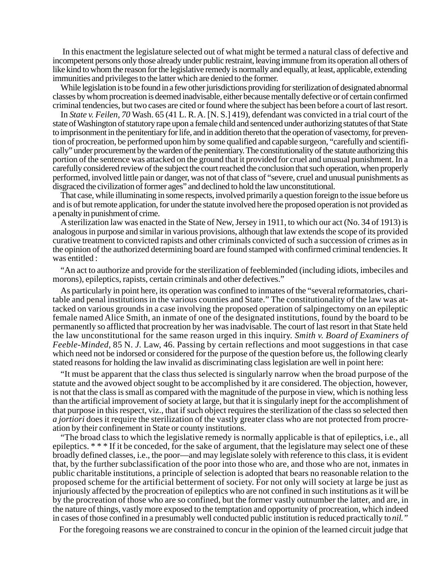In this enactment the legislature selected out of what might be termed a natural class of defective and incompetent persons only those already under public restraint, leaving immune from its operation all others of like kind to whom the reason for the legislative remedy is normally and equally, at least, applicable, extending immunities and privileges to the latter which are denied to the former.

While legislation is to be found in a few other jurisdictions providing for sterilization of designated abnormal classes by whom procreation is deemed inadvisable, either because mentally defective or of certain confirmed criminal tendencies, but two cases are cited or found where the subject has been before a court of last resort.

In *State v. Feilen, 70* Wash. 65 (41 L. R. A. [N. S.] 419), defendant was convicted in a trial court of the state of Washington of statutory rape upon a female child and sentenced under authorizing statutes of that State to imprisonment in the penitentiary for life, and in addition thereto that the operation of vasectomy, for prevention of procreation, be performed upon him by some qualified and capable surgeon, "carefully and scientifically" under procurement by the warden of the penitentiary. The constitutionality of the statute authorizing this portion of the sentence was attacked on the ground that it provided for cruel and unusual punishment. In a carefully considered review of the subject the court reached the conclusion that such operation, when properly performed, involved little pain or danger, was not of that class of "severe, cruel and unusual punishments as disgraced the civilization of former ages" and declined to hold the law unconstitutional.

That case, while illuminating in some respects, involved primarily a question foreign to the issue before us and is of but remote application, for under the statute involved here the proposed operation is not provided as a penalty in punishment of crime.

A sterilization law was enacted in the State of New, Jersey in 1911, to which our act (No. 34 of 1913) is analogous in purpose and similar in various provisions, although that law extends the scope of its provided curative treatment to convicted rapists and other criminals convicted of such a succession of crimes as in the opinion of the authorized determining board are found stamped with confirmed criminal tendencies. It was entitled :

"An act to authorize and provide for the sterilization of feebleminded (including idiots, imbeciles and morons), epileptics, rapists, certain criminals and other defectives."

As particularly in point here, its operation was confined to inmates of the "several reformatories, charitable and penal institutions in the various counties and State." The constitutionality of the law was attacked on various grounds in a case involving the proposed operation of salpingectomy on an epileptic female named Alice Smith, an inmate of one of the designated institutions, found by the board to be permanently so afflicted that procreation by her was inadvisable. The court of last resort in that State held the law unconstitutional for the same reason urged in this inquiry. *Smith v. Board of Examiners of Feeble-Minded,* 85 N. *J.* Law, 46. Passing by certain reflections and moot suggestions in that case which need not be indorsed or considered for the purpose of the question before us, the following clearly stated reasons for holding the law invalid as discriminating class legislation are well in point here:

"It must be apparent that the class thus selected is singularly narrow when the broad purpose of the statute and the avowed object sought to be accomplished by it are considered. The objection, however, is not that the class is small as compared with the magnitude of the purpose in view, which is nothing less than the artificial improvement of society at large, but that it is singularly inept for the accomplishment of that purpose in this respect, viz., that if such object requires the sterilization of the class so selected then *a jortiori* does it require the sterilization of the vastly greater class who are not protected from procreation by their confinement in State or county institutions.

"The broad class to which the legislative remedy is normally applicable is that of epileptics, i.e., all epileptics. \* \* \* If it be conceded, for the sake of argument, that the legislature may select one of these broadly defined classes, i.e., the poor—and may legislate solely with reference to this class, it is evident that, by the further subclassification of the poor into those who are, and those who are not, inmates in public charitable institutions, a principle of selection is adopted that bears no reasonable relation to the proposed scheme for the artificial betterment of society. For not only will society at large be just as injuriously affected by the procreation of epileptics who are not confined in such institutions as it will be by the procreation of those who are so confined, but the former vastly outnumber the latter, and are, in the nature of things, vastly more exposed to the temptation and opportunity of procreation, which indeed in cases of those confined in a presumably well conducted public institution is reduced practically to *nil."*

For the foregoing reasons we are constrained to concur in the opinion of the learned circuit judge that